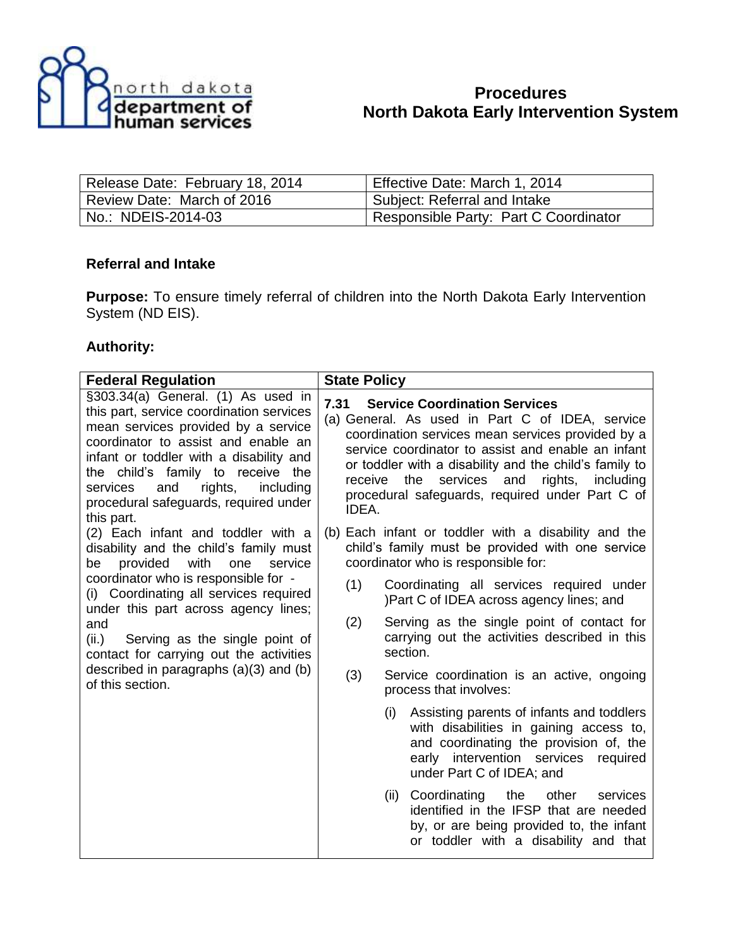

## **Procedures North Dakota Early Intervention System**

| Release Date: February 18, 2014 | Effective Date: March 1, 2014         |
|---------------------------------|---------------------------------------|
| Review Date: March of 2016      | Subject: Referral and Intake          |
| No.: NDEIS-2014-03              | Responsible Party: Part C Coordinator |

## **Referral and Intake**

**Purpose:** To ensure timely referral of children into the North Dakota Early Intervention System (ND EIS).

## **Authority:**

| <b>Federal Regulation</b>                                                                                                                                                                                                                                                                                                                                                                                      | <b>State Policy</b> |                                                                                                                                                                                                                                                                                                                                                                  |
|----------------------------------------------------------------------------------------------------------------------------------------------------------------------------------------------------------------------------------------------------------------------------------------------------------------------------------------------------------------------------------------------------------------|---------------------|------------------------------------------------------------------------------------------------------------------------------------------------------------------------------------------------------------------------------------------------------------------------------------------------------------------------------------------------------------------|
| §303.34(a) General. (1) As used in<br>this part, service coordination services<br>mean services provided by a service<br>coordinator to assist and enable an<br>infant or toddler with a disability and<br>the child's family to receive the<br>and<br>rights,<br>including<br>services<br>procedural safeguards, required under<br>this part.                                                                 | 7.31<br>IDEA.       | <b>Service Coordination Services</b><br>(a) General. As used in Part C of IDEA, service<br>coordination services mean services provided by a<br>service coordinator to assist and enable an infant<br>or toddler with a disability and the child's family to<br>receive the services and<br>rights, including<br>procedural safeguards, required under Part C of |
| (2) Each infant and toddler with a<br>disability and the child's family must<br>provided with<br>be<br>one<br>service<br>coordinator who is responsible for -<br>(i) Coordinating all services required<br>under this part across agency lines;<br>and<br>(ii.)<br>Serving as the single point of<br>contact for carrying out the activities<br>described in paragraphs $(a)(3)$ and $(b)$<br>of this section. |                     | (b) Each infant or toddler with a disability and the<br>child's family must be provided with one service<br>coordinator who is responsible for:                                                                                                                                                                                                                  |
|                                                                                                                                                                                                                                                                                                                                                                                                                | (1)                 | Coordinating all services required under<br>)Part C of IDEA across agency lines; and                                                                                                                                                                                                                                                                             |
|                                                                                                                                                                                                                                                                                                                                                                                                                | (2)                 | Serving as the single point of contact for<br>carrying out the activities described in this<br>section.                                                                                                                                                                                                                                                          |
|                                                                                                                                                                                                                                                                                                                                                                                                                | (3)                 | Service coordination is an active, ongoing<br>process that involves:                                                                                                                                                                                                                                                                                             |
|                                                                                                                                                                                                                                                                                                                                                                                                                |                     | Assisting parents of infants and toddlers<br>(i)<br>with disabilities in gaining access to,<br>and coordinating the provision of, the<br>early intervention services<br>required<br>under Part C of IDEA; and                                                                                                                                                    |
|                                                                                                                                                                                                                                                                                                                                                                                                                |                     | Coordinating<br>the<br>other<br>services<br>(ii)<br>identified in the IFSP that are needed<br>by, or are being provided to, the infant<br>or toddler with a disability and that                                                                                                                                                                                  |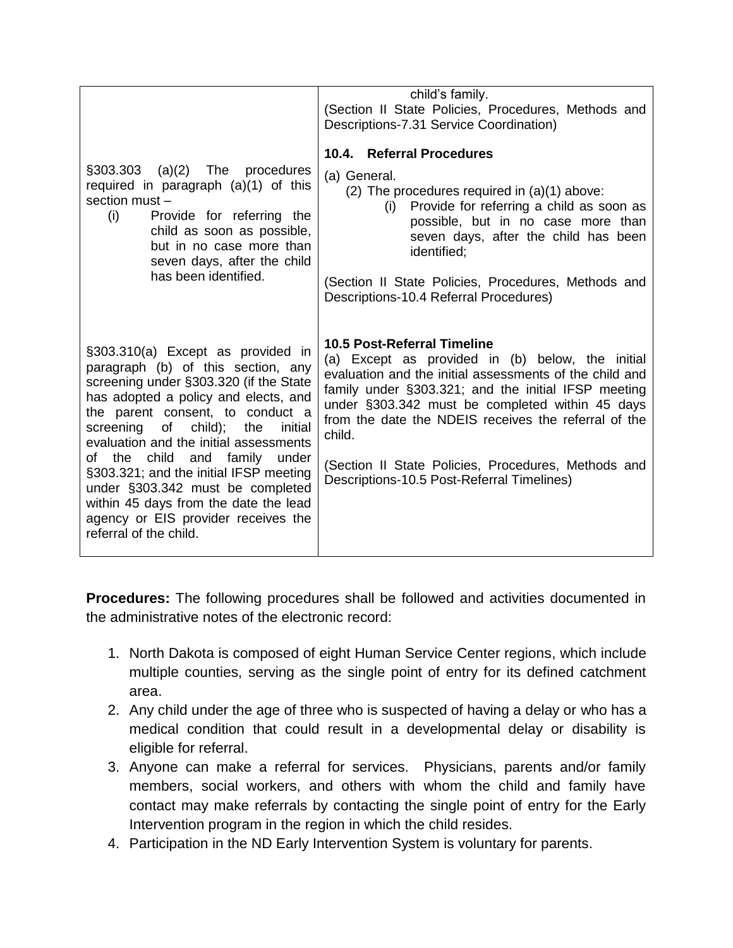|                                                                                                                                                                                                                                                                                                                                                                                                                                                                                                               | child's family.<br>(Section II State Policies, Procedures, Methods and<br>Descriptions-7.31 Service Coordination)                                                                                                                                                                                                                                                                                                           |
|---------------------------------------------------------------------------------------------------------------------------------------------------------------------------------------------------------------------------------------------------------------------------------------------------------------------------------------------------------------------------------------------------------------------------------------------------------------------------------------------------------------|-----------------------------------------------------------------------------------------------------------------------------------------------------------------------------------------------------------------------------------------------------------------------------------------------------------------------------------------------------------------------------------------------------------------------------|
| $\S303.303$ (a)(2) The procedures<br>required in paragraph (a)(1) of this<br>section must -<br>Provide for referring the<br>(i)<br>child as soon as possible,<br>but in no case more than<br>seven days, after the child<br>has been identified.                                                                                                                                                                                                                                                              | 10.4. Referral Procedures<br>(a) General.<br>(2) The procedures required in $(a)(1)$ above:<br>Provide for referring a child as soon as<br>(i)<br>possible, but in no case more than<br>seven days, after the child has been<br>identified:<br>(Section II State Policies, Procedures, Methods and<br>Descriptions-10.4 Referral Procedures)                                                                                |
| §303.310(a) Except as provided in<br>paragraph (b) of this section, any<br>screening under §303.320 (if the State<br>has adopted a policy and elects, and<br>the parent consent, to conduct a<br>screening<br>of child);<br>the<br>initial<br>evaluation and the initial assessments<br>of the child and family under<br>§303.321; and the initial IFSP meeting<br>under §303.342 must be completed<br>within 45 days from the date the lead<br>agency or EIS provider receives the<br>referral of the child. | 10.5 Post-Referral Timeline<br>(a) Except as provided in (b) below, the initial<br>evaluation and the initial assessments of the child and<br>family under §303.321; and the initial IFSP meeting<br>under §303.342 must be completed within 45 days<br>from the date the NDEIS receives the referral of the<br>child.<br>(Section II State Policies, Procedures, Methods and<br>Descriptions-10.5 Post-Referral Timelines) |

**Procedures:** The following procedures shall be followed and activities documented in the administrative notes of the electronic record:

- 1. North Dakota is composed of eight Human Service Center regions, which include multiple counties, serving as the single point of entry for its defined catchment area.
- 2. Any child under the age of three who is suspected of having a delay or who has a medical condition that could result in a developmental delay or disability is eligible for referral.
- 3. Anyone can make a referral for services. Physicians, parents and/or family members, social workers, and others with whom the child and family have contact may make referrals by contacting the single point of entry for the Early Intervention program in the region in which the child resides.
- 4. Participation in the ND Early Intervention System is voluntary for parents.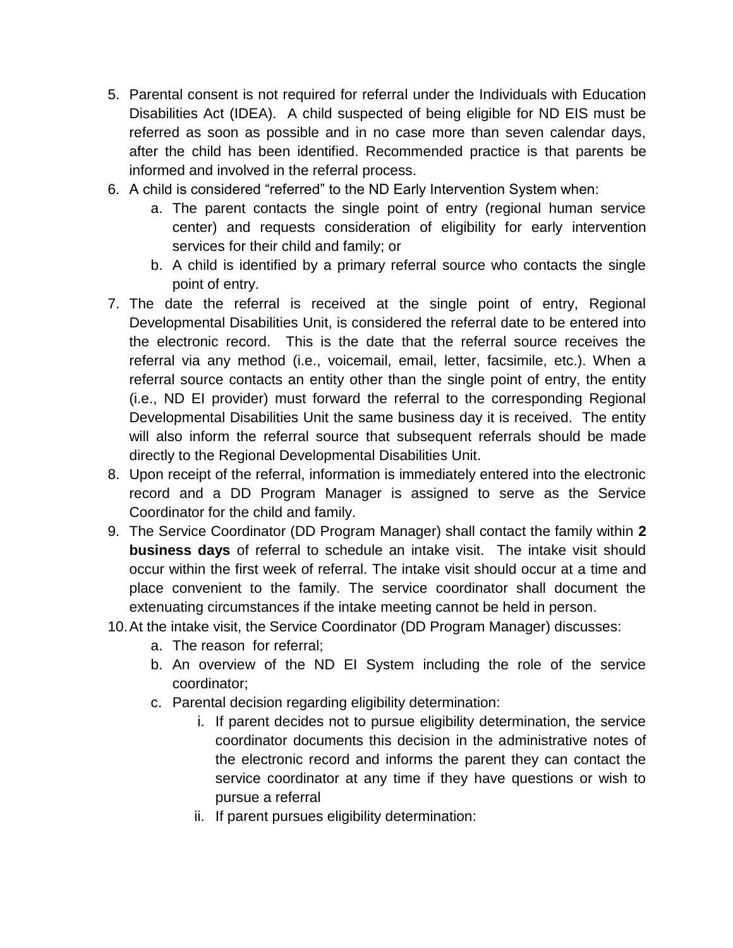- 5. Parental consent is not required for referral under the Individuals with Education Disabilities Act (IDEA). A child suspected of being eligible for ND EIS must be referred as soon as possible and in no case more than seven calendar days, after the child has been identified. Recommended practice is that parents be informed and involved in the referral process.
- 6. A child is considered "referred" to the ND Early Intervention System when:
	- a. The parent contacts the single point of entry (regional human service center) and requests consideration of eligibility for early intervention services for their child and family; or
	- b. A child is identified by a primary referral source who contacts the single point of entry.
- 7. The date the referral is received at the single point of entry, Regional Developmental Disabilities Unit, is considered the referral date to be entered into the electronic record. This is the date that the referral source receives the referral via any method (i.e., voicemail, email, letter, facsimile, etc.). When a referral source contacts an entity other than the single point of entry, the entity (i.e., ND EI provider) must forward the referral to the corresponding Regional Developmental Disabilities Unit the same business day it is received. The entity will also inform the referral source that subsequent referrals should be made directly to the Regional Developmental Disabilities Unit.
- 8. Upon receipt of the referral, information is immediately entered into the electronic record and a DD Program Manager is assigned to serve as the Service Coordinator for the child and family.
- 9. The Service Coordinator (DD Program Manager) shall contact the family within **2 business days** of referral to schedule an intake visit. The intake visit should occur within the first week of referral. The intake visit should occur at a time and place convenient to the family. The service coordinator shall document the extenuating circumstances if the intake meeting cannot be held in person.
- 10.At the intake visit, the Service Coordinator (DD Program Manager) discusses:
	- a. The reason for referral;
	- b. An overview of the ND EI System including the role of the service coordinator;
	- c. Parental decision regarding eligibility determination:
		- i. If parent decides not to pursue eligibility determination, the service coordinator documents this decision in the administrative notes of the electronic record and informs the parent they can contact the service coordinator at any time if they have questions or wish to pursue a referral
		- ii. If parent pursues eligibility determination: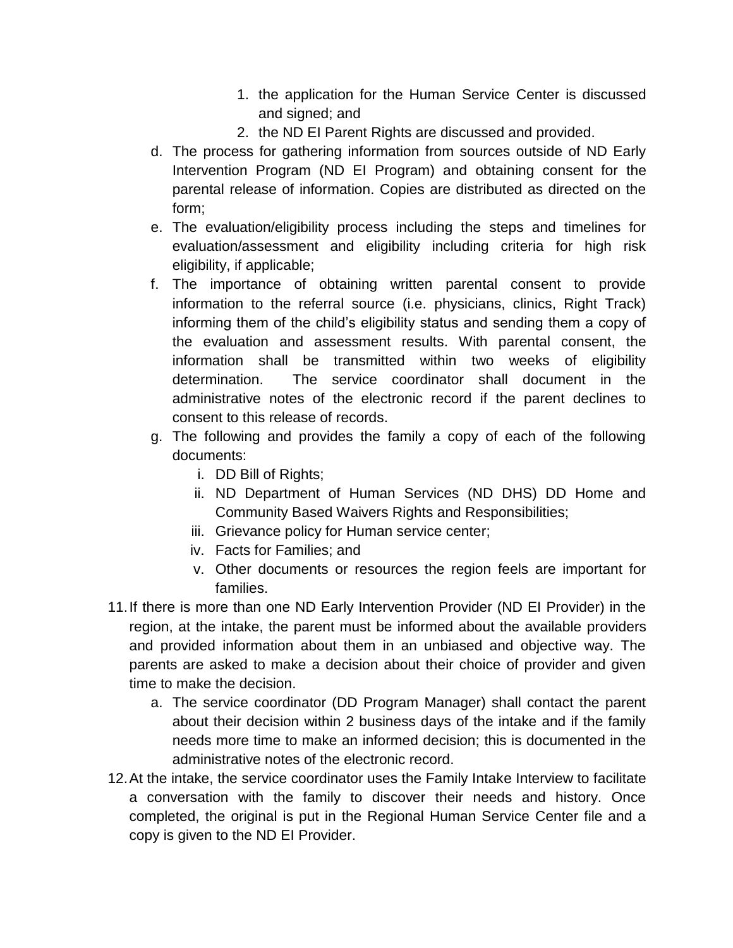- 1. the application for the Human Service Center is discussed and signed; and
- 2. the ND EI Parent Rights are discussed and provided.
- d. The process for gathering information from sources outside of ND Early Intervention Program (ND EI Program) and obtaining consent for the parental release of information. Copies are distributed as directed on the form;
- e. The evaluation/eligibility process including the steps and timelines for evaluation/assessment and eligibility including criteria for high risk eligibility, if applicable;
- f. The importance of obtaining written parental consent to provide information to the referral source (i.e. physicians, clinics, Right Track) informing them of the child's eligibility status and sending them a copy of the evaluation and assessment results. With parental consent, the information shall be transmitted within two weeks of eligibility determination. The service coordinator shall document in the administrative notes of the electronic record if the parent declines to consent to this release of records.
- g. The following and provides the family a copy of each of the following documents:
	- i. DD Bill of Rights;
	- ii. ND Department of Human Services (ND DHS) DD Home and Community Based Waivers Rights and Responsibilities;
	- iii. Grievance policy for Human service center;
	- iv. Facts for Families; and
	- v. Other documents or resources the region feels are important for families.
- 11.If there is more than one ND Early Intervention Provider (ND EI Provider) in the region, at the intake, the parent must be informed about the available providers and provided information about them in an unbiased and objective way. The parents are asked to make a decision about their choice of provider and given time to make the decision.
	- a. The service coordinator (DD Program Manager) shall contact the parent about their decision within 2 business days of the intake and if the family needs more time to make an informed decision; this is documented in the administrative notes of the electronic record.
- 12.At the intake, the service coordinator uses the Family Intake Interview to facilitate a conversation with the family to discover their needs and history. Once completed, the original is put in the Regional Human Service Center file and a copy is given to the ND EI Provider.